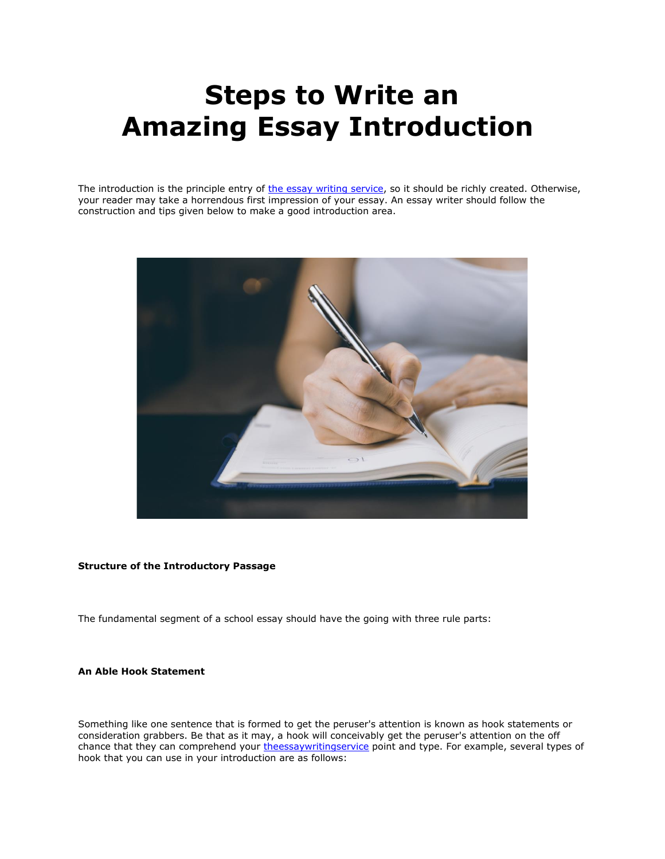## **Steps to Write an Amazing Essay Introduction**

The introduction is the principle entry of the essay [writing service,](https://theessaywritingservice.com/) so it should be richly created. Otherwise, your reader may take a horrendous first impression of your essay. An essay writer should follow the construction and tips given below to make a good introduction area.



## **Structure of the Introductory Passage**

The fundamental segment of a school essay should have the going with three rule parts:

## **An Able Hook Statement**

Something like one sentence that is formed to get the peruser's attention is known as hook statements or consideration grabbers. Be that as it may, a hook will conceivably get the peruser's attention on the off chance that they can comprehend your [theessaywritingservice](https://theessaywritingservice.com/) point and type. For example, several types of hook that you can use in your introduction are as follows: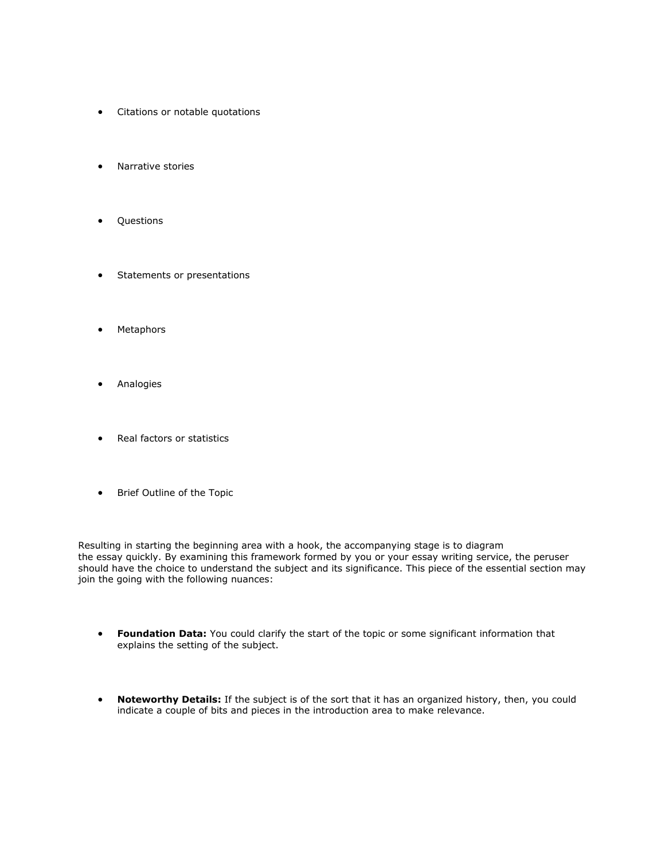- Citations or notable quotations
- Narrative stories
- Questions
- Statements or presentations
- Metaphors
- Analogies
- Real factors or statistics
- Brief Outline of the Topic

Resulting in starting the beginning area with a hook, the accompanying stage is to diagram the essay quickly. By examining this framework formed by you or your essay writing service, the peruser should have the choice to understand the subject and its significance. This piece of the essential section may join the going with the following nuances:

- **Foundation Data:** You could clarify the start of the topic or some significant information that explains the setting of the subject.
- **Noteworthy Details:** If the subject is of the sort that it has an organized history, then, you could indicate a couple of bits and pieces in the introduction area to make relevance.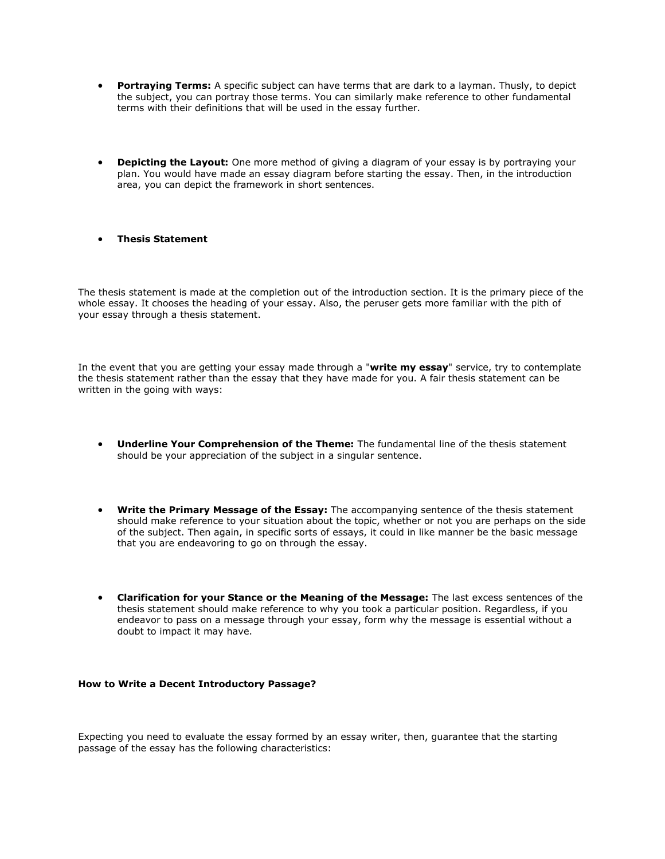- **Portraying Terms:** A specific subject can have terms that are dark to a layman. Thusly, to depict the subject, you can portray those terms. You can similarly make reference to other fundamental terms with their definitions that will be used in the essay further.
- **Depicting the Layout:** One more method of giving a diagram of your essay is by portraying your plan. You would have made an essay diagram before starting the essay. Then, in the introduction area, you can depict the framework in short sentences.
- **Thesis Statement**

The thesis statement is made at the completion out of the introduction section. It is the primary piece of the whole essay. It chooses the heading of your essay. Also, the peruser gets more familiar with the pith of your essay through a thesis statement.

In the event that you are getting your essay made through a "**write my essay**" service, try to contemplate the thesis statement rather than the essay that they have made for you. A fair thesis statement can be written in the going with ways:

- **Underline Your Comprehension of the Theme:** The fundamental line of the thesis statement should be your appreciation of the subject in a singular sentence.
- **Write the Primary Message of the Essay:** The accompanying sentence of the thesis statement should make reference to your situation about the topic, whether or not you are perhaps on the side of the subject. Then again, in specific sorts of essays, it could in like manner be the basic message that you are endeavoring to go on through the essay.
- **Clarification for your Stance or the Meaning of the Message:** The last excess sentences of the thesis statement should make reference to why you took a particular position. Regardless, if you endeavor to pass on a message through your essay, form why the message is essential without a doubt to impact it may have.

## **How to Write a Decent Introductory Passage?**

Expecting you need to evaluate the essay formed by an essay writer, then, guarantee that the starting passage of the essay has the following characteristics: